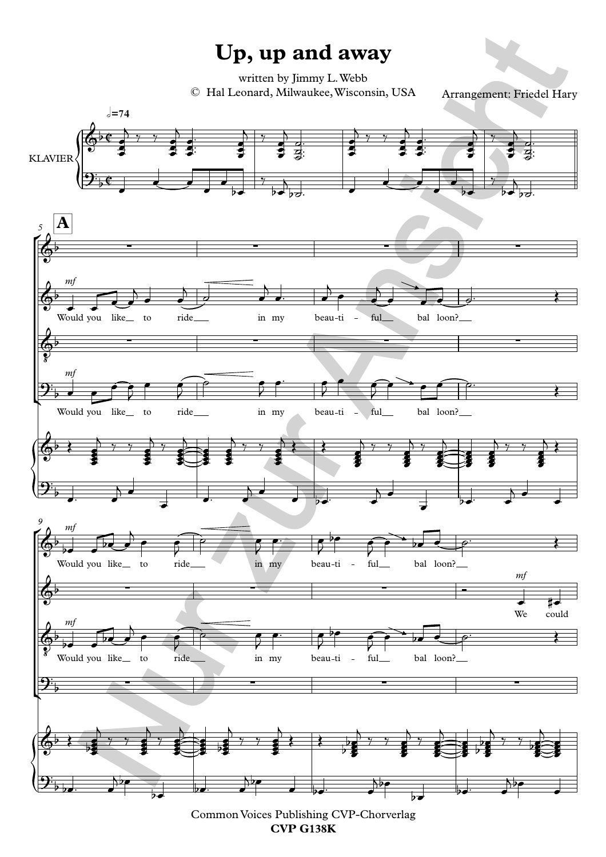## **Up, up and away**

written by Jimmy L.Webb © Hal Leonard, Milwaukee,Wisconsin, USA





Common Voices Publishing CVP-Chorverlag **CVP G138K**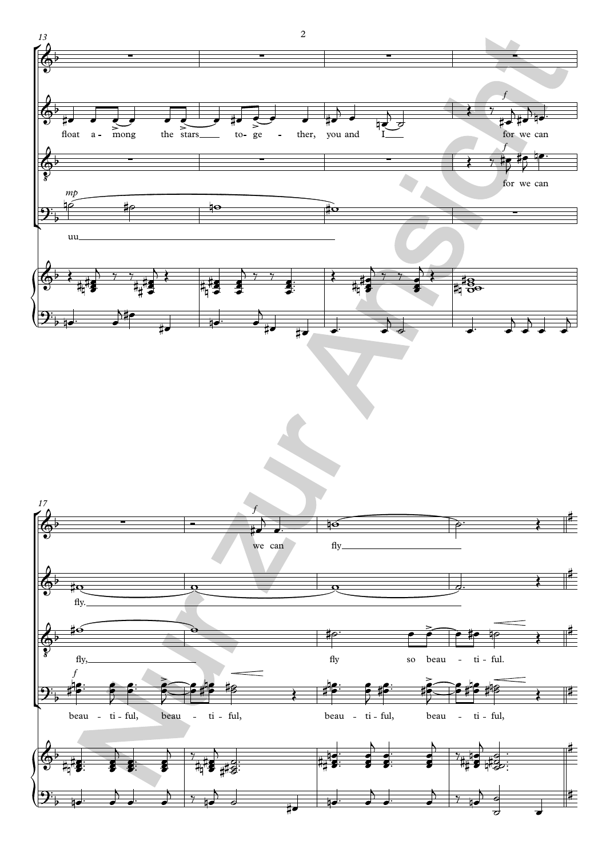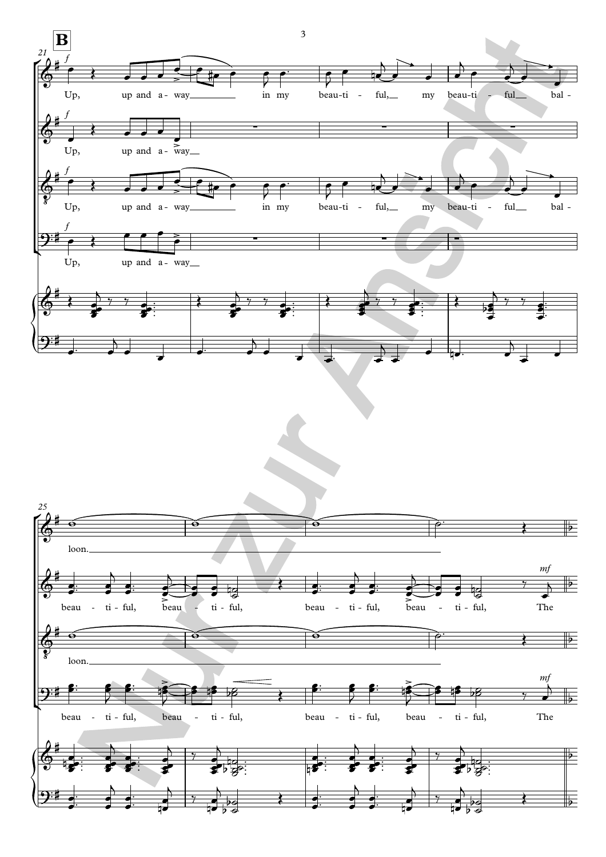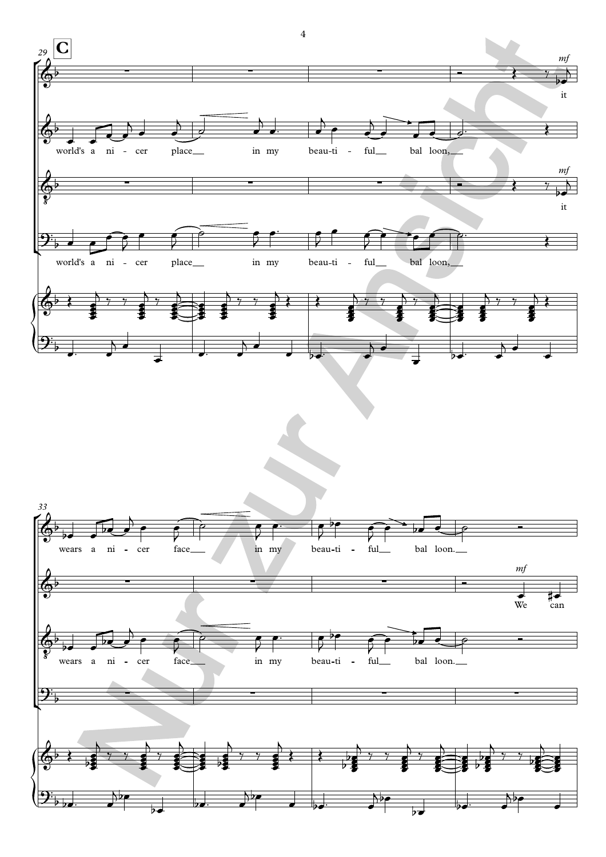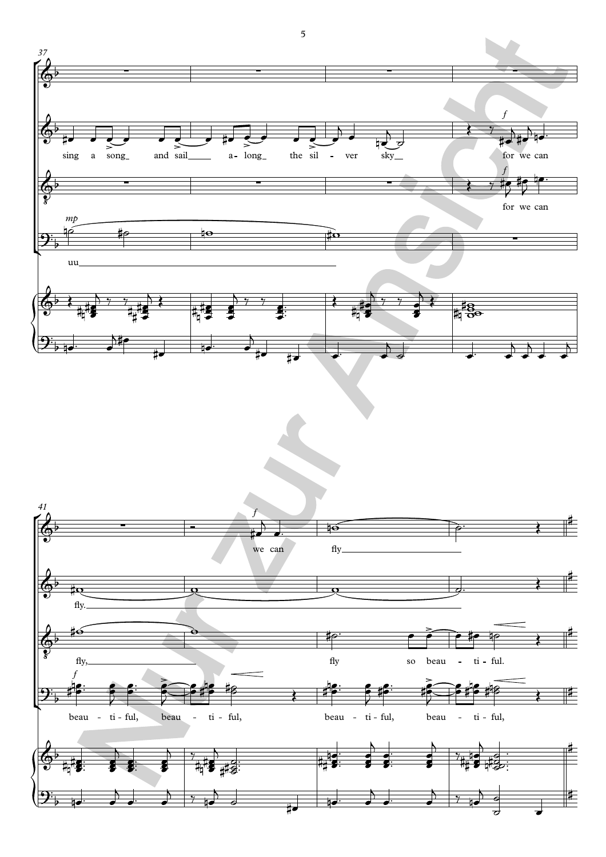

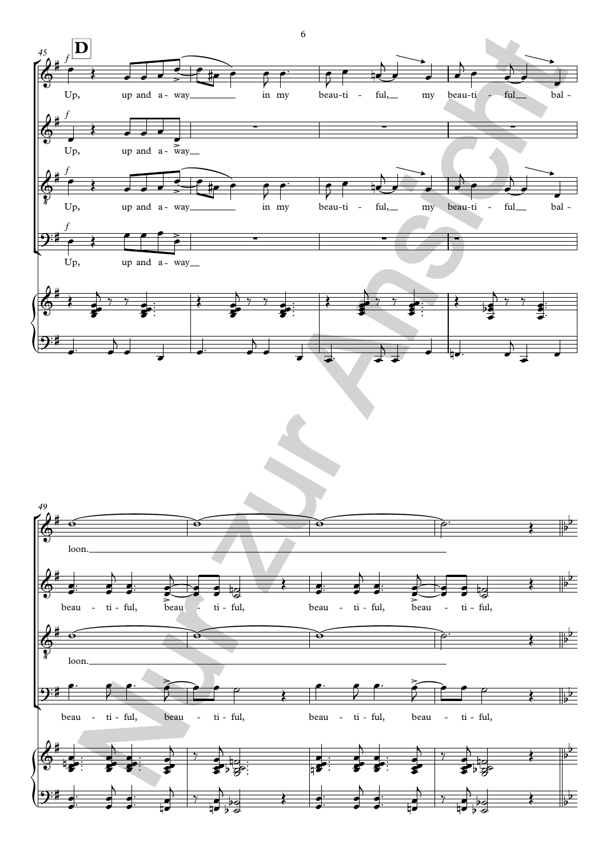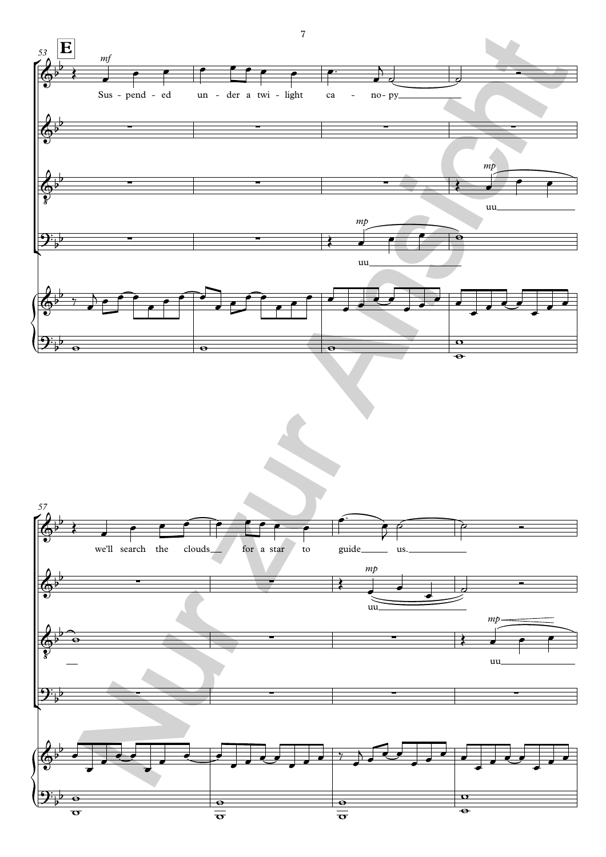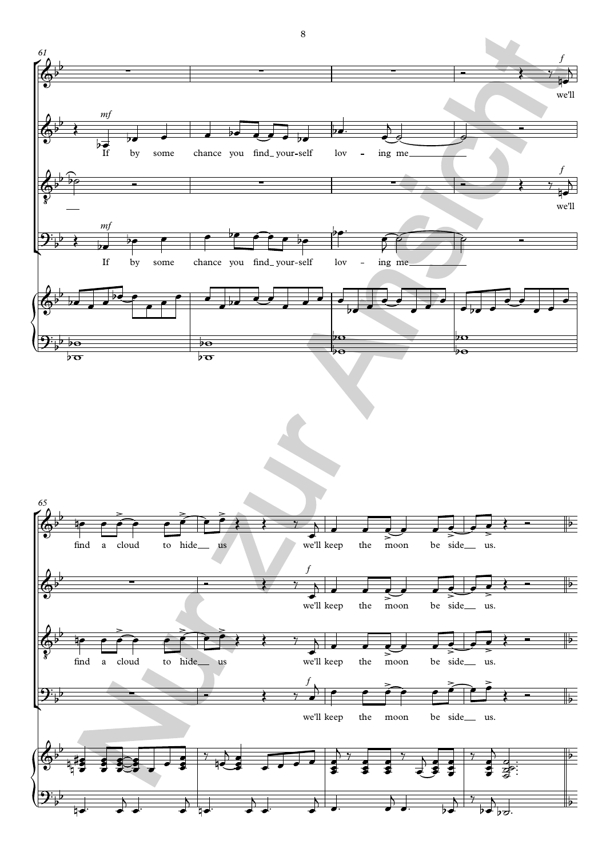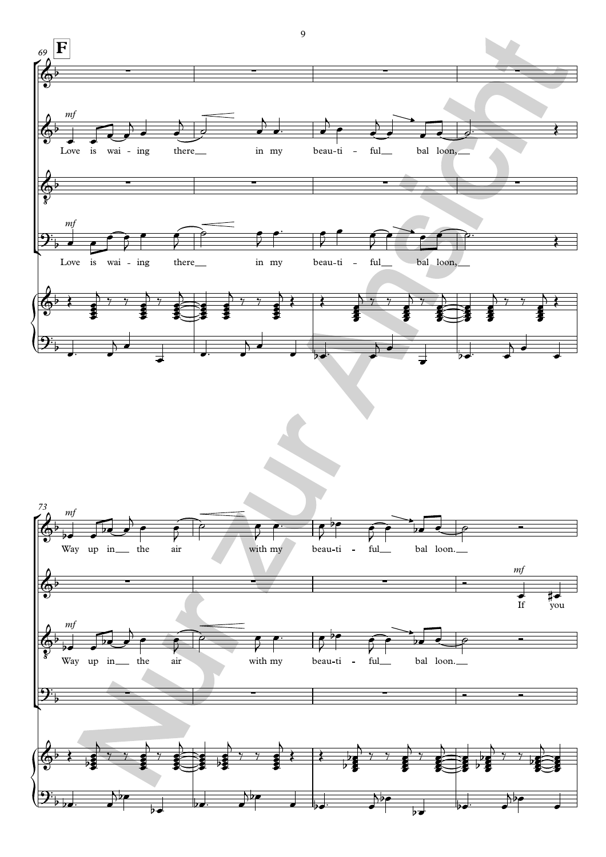